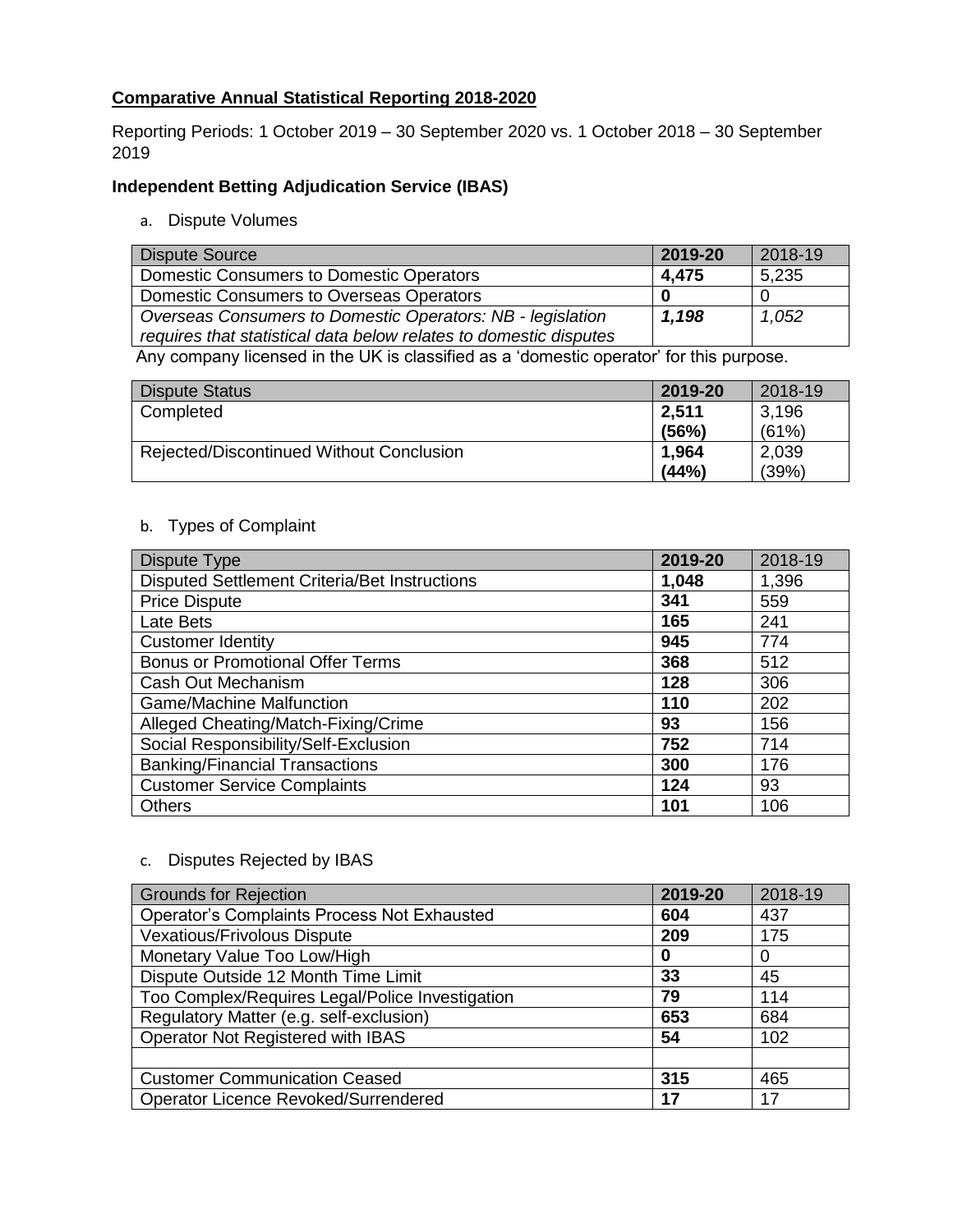# **Comparative Annual Statistical Reporting 2018-2020**

Reporting Periods: 1 October 2019 – 30 September 2020 vs. 1 October 2018 – 30 September 2019

## **Independent Betting Adjudication Service (IBAS)**

a. Dispute Volumes

| Dispute Source                                                    | 2019-20 | 2018-19 |
|-------------------------------------------------------------------|---------|---------|
| <b>Domestic Consumers to Domestic Operators</b>                   | 4.475   | 5,235   |
| <b>Domestic Consumers to Overseas Operators</b>                   |         |         |
| Overseas Consumers to Domestic Operators: NB - legislation        | 1,198   | 1,052   |
| requires that statistical data below relates to domestic disputes |         |         |

Any company licensed in the UK is classified as a 'domestic operator' for this purpose.

| <b>Dispute Status</b>                    | 2019-20 | 2018-19 |
|------------------------------------------|---------|---------|
| Completed                                | 2,511   | 3,196   |
|                                          | (56%)   | (61%)   |
| Rejected/Discontinued Without Conclusion | 1,964   | 2,039   |
|                                          | (44%)   | (39%)   |

## b. Types of Complaint

| Dispute Type                                         | 2019-20 | 2018-19 |
|------------------------------------------------------|---------|---------|
| <b>Disputed Settlement Criteria/Bet Instructions</b> | 1,048   | 1,396   |
| <b>Price Dispute</b>                                 | 341     | 559     |
| Late Bets                                            | 165     | 241     |
| <b>Customer Identity</b>                             | 945     | 774     |
| <b>Bonus or Promotional Offer Terms</b>              | 368     | 512     |
| Cash Out Mechanism                                   | 128     | 306     |
| <b>Game/Machine Malfunction</b>                      | 110     | 202     |
| Alleged Cheating/Match-Fixing/Crime                  | 93      | 156     |
| Social Responsibility/Self-Exclusion                 | 752     | 714     |
| <b>Banking/Financial Transactions</b>                | 300     | 176     |
| <b>Customer Service Complaints</b>                   | 124     | 93      |
| <b>Others</b>                                        | 101     | 106     |

### c. Disputes Rejected by IBAS

| <b>Grounds for Rejection</b>                       | 2019-20 | 2018-19 |
|----------------------------------------------------|---------|---------|
| <b>Operator's Complaints Process Not Exhausted</b> | 604     | 437     |
| <b>Vexatious/Frivolous Dispute</b>                 | 209     | 175     |
| Monetary Value Too Low/High                        | 0       | 0       |
| Dispute Outside 12 Month Time Limit                | 33      | 45      |
| Too Complex/Requires Legal/Police Investigation    | 79      | 114     |
| Regulatory Matter (e.g. self-exclusion)            | 653     | 684     |
| Operator Not Registered with IBAS                  | 54      | 102     |
|                                                    |         |         |
| <b>Customer Communication Ceased</b>               | 315     | 465     |
| Operator Licence Revoked/Surrendered               | 17      | 17      |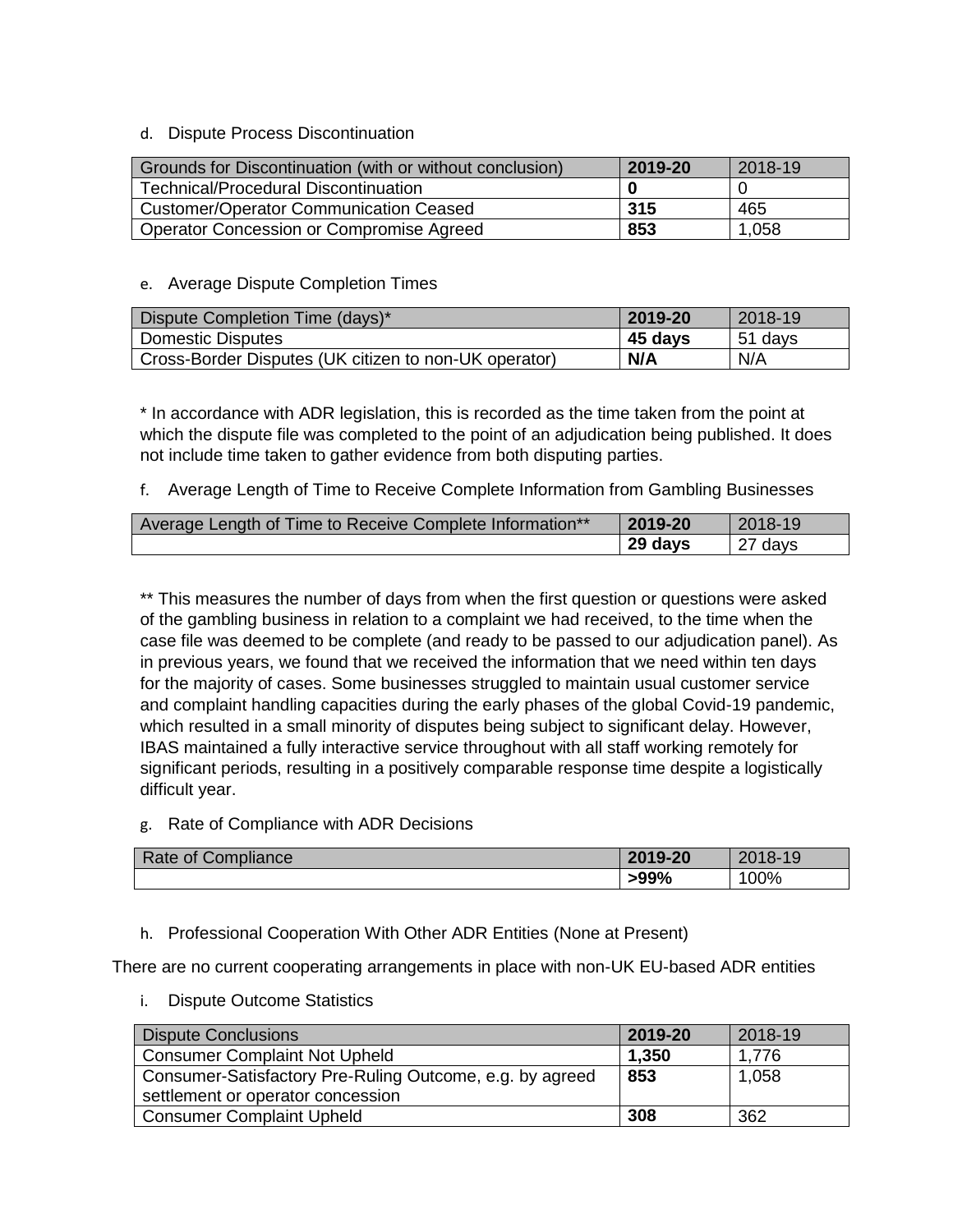### d. Dispute Process Discontinuation

| Grounds for Discontinuation (with or without conclusion) | 2019-20 | 2018-19 |
|----------------------------------------------------------|---------|---------|
| <b>Technical/Procedural Discontinuation</b>              |         |         |
| <b>Customer/Operator Communication Ceased</b>            | 315     | 465     |
| Operator Concession or Compromise Agreed                 | 853     | 1,058   |

### e. Average Dispute Completion Times

| Dispute Completion Time (days)*                       | 2019-20 | 2018-19 |
|-------------------------------------------------------|---------|---------|
| <b>Domestic Disputes</b>                              | 45 days | 51 days |
| Cross-Border Disputes (UK citizen to non-UK operator) | N/A     | N/A     |

\* In accordance with ADR legislation, this is recorded as the time taken from the point at which the dispute file was completed to the point of an adjudication being published. It does not include time taken to gather evidence from both disputing parties.

### f. Average Length of Time to Receive Complete Information from Gambling Businesses

| Average Length of Time to Receive Complete Information** | 2019-20 | 2018-19            |
|----------------------------------------------------------|---------|--------------------|
|                                                          | 29 days | <sup>27</sup> days |

\*\* This measures the number of days from when the first question or questions were asked of the gambling business in relation to a complaint we had received, to the time when the case file was deemed to be complete (and ready to be passed to our adjudication panel). As in previous years, we found that we received the information that we need within ten days for the majority of cases. Some businesses struggled to maintain usual customer service and complaint handling capacities during the early phases of the global Covid-19 pandemic, which resulted in a small minority of disputes being subject to significant delay. However, IBAS maintained a fully interactive service throughout with all staff working remotely for significant periods, resulting in a positively comparable response time despite a logistically difficult year.

### g. Rate of Compliance with ADR Decisions

| Compliance<br>0t<br>kate | 2019-20       | $\overline{4}$ $\overline{0}$<br>- הו<br>ت ا |
|--------------------------|---------------|----------------------------------------------|
|                          | .000<br>>YY70 | 00%                                          |

### h. Professional Cooperation With Other ADR Entities (None at Present)

There are no current cooperating arrangements in place with non-UK EU-based ADR entities

i. Dispute Outcome Statistics

| <b>Dispute Conclusions</b>                               | 2019-20 | 2018-19 |
|----------------------------------------------------------|---------|---------|
| <b>Consumer Complaint Not Upheld</b>                     | 1,350   | 1.776   |
| Consumer-Satisfactory Pre-Ruling Outcome, e.g. by agreed | 853     | 1,058   |
| settlement or operator concession                        |         |         |
| <b>Consumer Complaint Upheld</b>                         | 308     | 362     |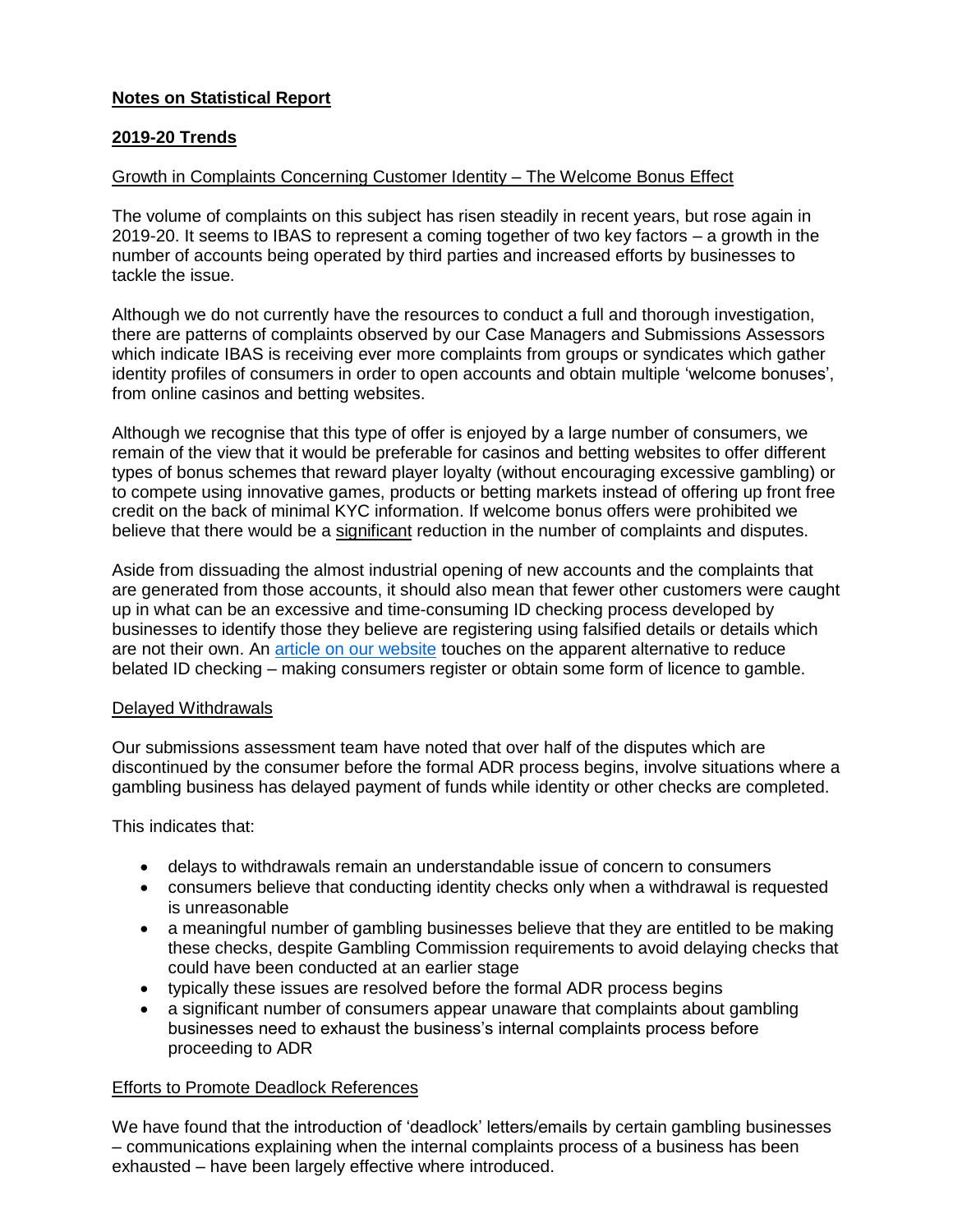### **Notes on Statistical Report**

### **2019-20 Trends**

#### Growth in Complaints Concerning Customer Identity – The Welcome Bonus Effect

The volume of complaints on this subject has risen steadily in recent years, but rose again in 2019-20. It seems to IBAS to represent a coming together of two key factors – a growth in the number of accounts being operated by third parties and increased efforts by businesses to tackle the issue.

Although we do not currently have the resources to conduct a full and thorough investigation, there are patterns of complaints observed by our Case Managers and Submissions Assessors which indicate IBAS is receiving ever more complaints from groups or syndicates which gather identity profiles of consumers in order to open accounts and obtain multiple 'welcome bonuses', from online casinos and betting websites.

Although we recognise that this type of offer is enjoyed by a large number of consumers, we remain of the view that it would be preferable for casinos and betting websites to offer different types of bonus schemes that reward player loyalty (without encouraging excessive gambling) or to compete using innovative games, products or betting markets instead of offering up front free credit on the back of minimal KYC information. If welcome bonus offers were prohibited we believe that there would be a significant reduction in the number of complaints and disputes.

Aside from dissuading the almost industrial opening of new accounts and the complaints that are generated from those accounts, it should also mean that fewer other customers were caught up in what can be an excessive and time-consuming ID checking process developed by businesses to identify those they believe are registering using falsified details or details which are not their own. An [article on our website](https://www.ibas-uk.com/media/view-from-the-panel-effective-consumer-protection/) touches on the apparent alternative to reduce belated ID checking – making consumers register or obtain some form of licence to gamble.

#### Delayed Withdrawals

Our submissions assessment team have noted that over half of the disputes which are discontinued by the consumer before the formal ADR process begins, involve situations where a gambling business has delayed payment of funds while identity or other checks are completed.

This indicates that:

- delays to withdrawals remain an understandable issue of concern to consumers
- consumers believe that conducting identity checks only when a withdrawal is requested is unreasonable
- a meaningful number of gambling businesses believe that they are entitled to be making these checks, despite Gambling Commission requirements to avoid delaying checks that could have been conducted at an earlier stage
- typically these issues are resolved before the formal ADR process begins
- a significant number of consumers appear unaware that complaints about gambling businesses need to exhaust the business's internal complaints process before proceeding to ADR

### Efforts to Promote Deadlock References

We have found that the introduction of 'deadlock' letters/emails by certain gambling businesses – communications explaining when the internal complaints process of a business has been exhausted – have been largely effective where introduced.